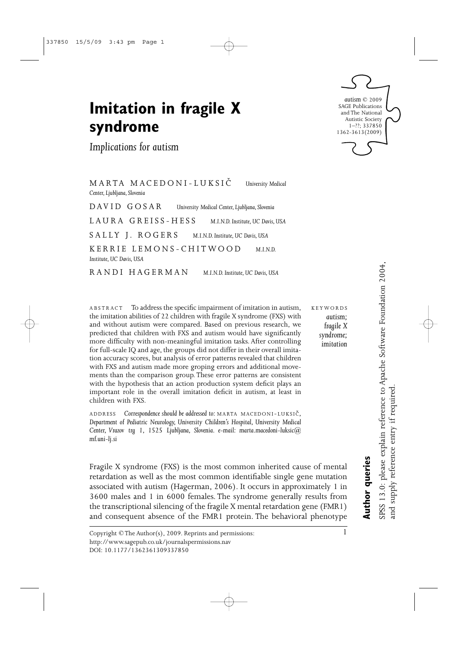# **Imitation in fragile X syndrome**

*Implications for autism*

*autism* © 2009 SAGE Publications and The National Autistic Society 1–??; 337850 1362-3613(2009)

|                             | MARTA MACEDONI-LUKSIČ  |  |                                                | <b>University Medical</b>         |  |  |
|-----------------------------|------------------------|--|------------------------------------------------|-----------------------------------|--|--|
| Center, Ljubljana, Slovenia |                        |  |                                                |                                   |  |  |
| DAVID GOSAR                 |                        |  | University Medical Center, Ljubljana, Slovenia |                                   |  |  |
|                             | LAURA GREISS-HESS      |  |                                                | M.I.N.D. Institute, UC Davis, USA |  |  |
|                             | SALLY J. ROGERS        |  | M.I.N.D. Institute, UC Davis, USA              |                                   |  |  |
|                             | KERRIE LEMONS-CHITWOOD |  |                                                | M.I.N.D.                          |  |  |

*Institute, UC Davis, USA*

| RANDI HAGERMAN<br>M.I.N.D. Institute, UC Davis, USA |  |
|-----------------------------------------------------|--|
|-----------------------------------------------------|--|

ABSTRACT To address the specific impairment of imitation in autism, the imitation abilities of 22 children with fragile X syndrome (FXS) with and without autism were compared. Based on previous research, we predicted that children with FXS and autism would have significantly more difficulty with non-meaningful imitation tasks. After controlling for full-scale IQ and age, the groups did not differ in their overall imitation accuracy scores, but analysis of error patterns revealed that children with FXS and autism made more groping errors and additional movements than the comparison group. These error patterns are consistent with the hypothesis that an action production system deficit plays an important role in the overall imitation deficit in autism, at least in children with FXS.

ADDRESS *Correspondence should be addressed to:* MARTA MACEDONI- LUKSICˇ*, Department of Pediatric Neurology, University Children's Hospital, University Medical Center, Vrazov trg 1, 1525 Ljubljana, Slovenia. e-mail: marta.macedoni-luksic@ mf.uni-lj.si*

Fragile X syndrome (FXS) is the most common inherited cause of mental retardation as well as the most common identifiable single gene mutation associated with autism (Hagerman, 2006). It occurs in approximately 1 in 3600 males and 1 in 6000 females. The syndrome generally results from the transcriptional silencing of the fragile X mental retardation gene (FMR1) and consequent absence of the FMR1 protein. The behavioral phenotype

KEYWORDS *autism; fragile X syndrome; imitation*

SPSS 13.0: please explain reference to Apache Software Foundation 2004, SPSS 13.0: please explain reference to Apache Software Foundation 2004, **Author queries Author queries**

and supply reference entry if required.

and supply reference entry if required

1

Copyright © The Author(s), 2009. Reprints and permissions: http://www.sagepub.co.uk/journalspermissions.nav DOI: 10.1177/1362361309337850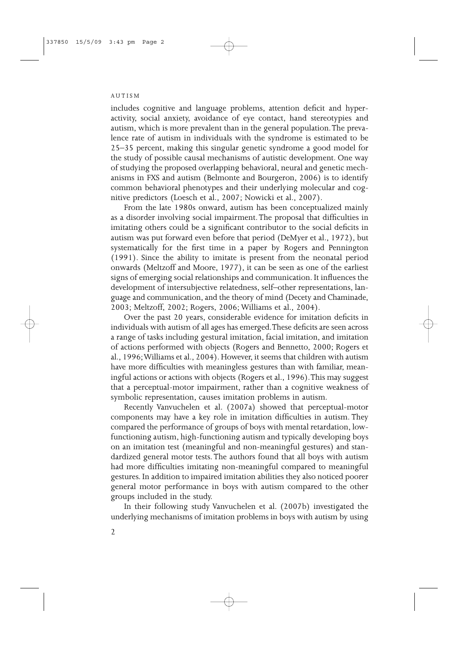includes cognitive and language problems, attention deficit and hyperactivity, social anxiety, avoidance of eye contact, hand stereotypies and autism, which is more prevalent than in the general population.The prevalence rate of autism in individuals with the syndrome is estimated to be 25–35 percent, making this singular genetic syndrome a good model for the study of possible causal mechanisms of autistic development. One way of studying the proposed overlapping behavioral, neural and genetic mechanisms in FXS and autism (Belmonte and Bourgeron, 2006) is to identify common behavioral phenotypes and their underlying molecular and cognitive predictors (Loesch et al., 2007; Nowicki et al., 2007).

From the late 1980s onward, autism has been conceptualized mainly as a disorder involving social impairment. The proposal that difficulties in imitating others could be a significant contributor to the social deficits in autism was put forward even before that period (DeMyer et al., 1972), but systematically for the first time in a paper by Rogers and Pennington (1991). Since the ability to imitate is present from the neonatal period onwards (Meltzoff and Moore, 1977), it can be seen as one of the earliest signs of emerging social relationships and communication. It influences the development of intersubjective relatedness, self–other representations, language and communication, and the theory of mind (Decety and Chaminade, 2003; Meltzoff, 2002; Rogers, 2006; Williams et al., 2004).

Over the past 20 years, considerable evidence for imitation deficits in individuals with autism of all ages has emerged.These deficits are seen across a range of tasks including gestural imitation, facial imitation, and imitation of actions performed with objects (Rogers and Bennetto, 2000; Rogers et al., 1996;Williams et al., 2004). However, it seems that children with autism have more difficulties with meaningless gestures than with familiar, meaningful actions or actions with objects (Rogers et al., 1996).This may suggest that a perceptual-motor impairment, rather than a cognitive weakness of symbolic representation, causes imitation problems in autism.

Recently Vanvuchelen et al. (2007a) showed that perceptual-motor components may have a key role in imitation difficulties in autism. They compared the performance of groups of boys with mental retardation, lowfunctioning autism, high-functioning autism and typically developing boys on an imitation test (meaningful and non-meaningful gestures) and standardized general motor tests. The authors found that all boys with autism had more difficulties imitating non-meaningful compared to meaningful gestures. In addition to impaired imitation abilities they also noticed poorer general motor performance in boys with autism compared to the other groups included in the study.

In their following study Vanvuchelen et al. (2007b) investigated the underlying mechanisms of imitation problems in boys with autism by using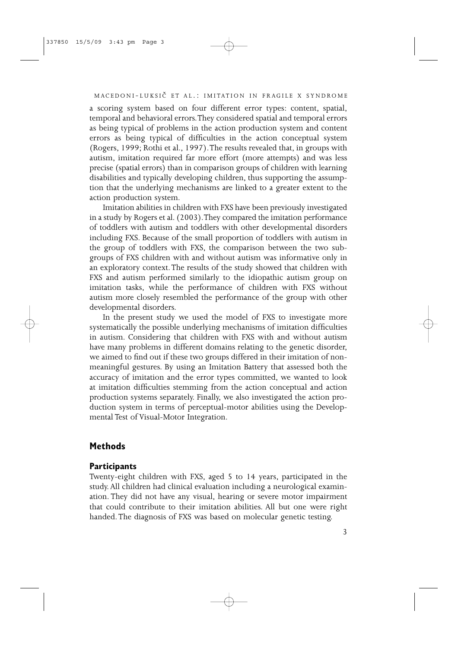a scoring system based on four different error types: content, spatial, temporal and behavioral errors.They considered spatial and temporal errors as being typical of problems in the action production system and content errors as being typical of difficulties in the action conceptual system (Rogers, 1999; Rothi et al., 1997).The results revealed that, in groups with autism, imitation required far more effort (more attempts) and was less precise (spatial errors) than in comparison groups of children with learning disabilities and typically developing children, thus supporting the assumption that the underlying mechanisms are linked to a greater extent to the action production system.

Imitation abilities in children with FXS have been previously investigated in a study by Rogers et al. (2003).They compared the imitation performance of toddlers with autism and toddlers with other developmental disorders including FXS. Because of the small proportion of toddlers with autism in the group of toddlers with FXS, the comparison between the two subgroups of FXS children with and without autism was informative only in an exploratory context.The results of the study showed that children with FXS and autism performed similarly to the idiopathic autism group on imitation tasks, while the performance of children with FXS without autism more closely resembled the performance of the group with other developmental disorders.

In the present study we used the model of FXS to investigate more systematically the possible underlying mechanisms of imitation difficulties in autism. Considering that children with FXS with and without autism have many problems in different domains relating to the genetic disorder, we aimed to find out if these two groups differed in their imitation of nonmeaningful gestures. By using an Imitation Battery that assessed both the accuracy of imitation and the error types committed, we wanted to look at imitation difficulties stemming from the action conceptual and action production systems separately. Finally, we also investigated the action production system in terms of perceptual-motor abilities using the Developmental Test of Visual-Motor Integration.

# **Methods**

## **Participants**

Twenty-eight children with FXS, aged 5 to 14 years, participated in the study. All children had clinical evaluation including a neurological examination. They did not have any visual, hearing or severe motor impairment that could contribute to their imitation abilities. All but one were right handed. The diagnosis of FXS was based on molecular genetic testing.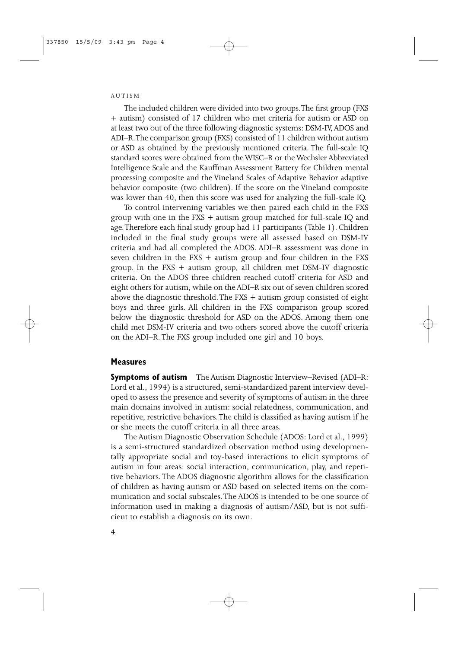The included children were divided into two groups.The first group (FXS + autism) consisted of 17 children who met criteria for autism or ASD on at least two out of the three following diagnostic systems: DSM-IV,ADOS and ADI–R.The comparison group (FXS) consisted of 11 children without autism or ASD as obtained by the previously mentioned criteria. The full-scale IQ standard scores were obtained from the WISC–R or the Wechsler Abbreviated Intelligence Scale and the Kauffman Assessment Battery for Children mental processing composite and the Vineland Scales of Adaptive Behavior adaptive behavior composite (two children). If the score on the Vineland composite was lower than 40, then this score was used for analyzing the full-scale IQ.

To control intervening variables we then paired each child in the FXS group with one in the FXS + autism group matched for full-scale IQ and age.Therefore each final study group had 11 participants (Table 1). Children included in the final study groups were all assessed based on DSM-IV criteria and had all completed the ADOS. ADI–R assessment was done in seven children in the FXS + autism group and four children in the FXS group. In the FXS + autism group, all children met DSM-IV diagnostic criteria. On the ADOS three children reached cutoff criteria for ASD and eight others for autism, while on the ADI–R six out of seven children scored above the diagnostic threshold. The  $FXS +$  autism group consisted of eight boys and three girls. All children in the FXS comparison group scored below the diagnostic threshold for ASD on the ADOS. Among them one child met DSM-IV criteria and two others scored above the cutoff criteria on the ADI–R. The FXS group included one girl and 10 boys.

## **Measures**

**Symptoms of autism** The Autism Diagnostic Interview–Revised (ADI–R: Lord et al., 1994) is a structured, semi-standardized parent interview developed to assess the presence and severity of symptoms of autism in the three main domains involved in autism: social relatedness, communication, and repetitive, restrictive behaviors.The child is classified as having autism if he or she meets the cutoff criteria in all three areas.

The Autism Diagnostic Observation Schedule (ADOS: Lord et al., 1999) is a semi-structured standardized observation method using developmentally appropriate social and toy-based interactions to elicit symptoms of autism in four areas: social interaction, communication, play, and repetitive behaviors. The ADOS diagnostic algorithm allows for the classification of children as having autism or ASD based on selected items on the communication and social subscales.The ADOS is intended to be one source of information used in making a diagnosis of autism/ASD, but is not sufficient to establish a diagnosis on its own.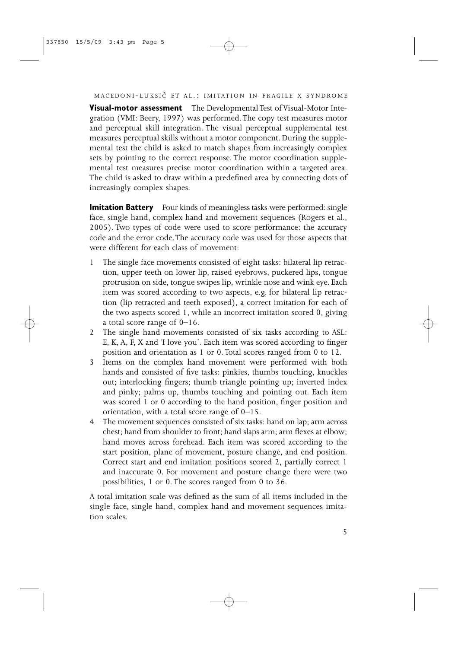**Visual-motor assessment** The Developmental Test of Visual-Motor Integration (VMI: Beery, 1997) was performed.The copy test measures motor and perceptual skill integration. The visual perceptual supplemental test measures perceptual skills without a motor component. During the supplemental test the child is asked to match shapes from increasingly complex sets by pointing to the correct response. The motor coordination supplemental test measures precise motor coordination within a targeted area. The child is asked to draw within a predefined area by connecting dots of increasingly complex shapes.

**Imitation Battery** Four kinds of meaningless tasks were performed: single face, single hand, complex hand and movement sequences (Rogers et al., 2005). Two types of code were used to score performance: the accuracy code and the error code.The accuracy code was used for those aspects that were different for each class of movement:

- The single face movements consisted of eight tasks: bilateral lip retraction, upper teeth on lower lip, raised eyebrows, puckered lips, tongue protrusion on side, tongue swipes lip, wrinkle nose and wink eye. Each item was scored according to two aspects, e.g. for bilateral lip retraction (lip retracted and teeth exposed), a correct imitation for each of the two aspects scored 1, while an incorrect imitation scored 0, giving a total score range of 0–16.
- The single hand movements consisted of six tasks according to ASL: E, K, A, F, X and 'I love you'. Each item was scored according to finger position and orientation as 1 or 0. Total scores ranged from 0 to 12.
- 3 Items on the complex hand movement were performed with both hands and consisted of five tasks: pinkies, thumbs touching, knuckles out; interlocking fingers; thumb triangle pointing up; inverted index and pinky; palms up, thumbs touching and pointing out. Each item was scored 1 or 0 according to the hand position, finger position and orientation, with a total score range of 0–15.
- 4 The movement sequences consisted of six tasks: hand on lap; arm across chest; hand from shoulder to front; hand slaps arm; arm flexes at elbow; hand moves across forehead. Each item was scored according to the start position, plane of movement, posture change, and end position. Correct start and end imitation positions scored 2, partially correct 1 and inaccurate 0. For movement and posture change there were two possibilities, 1 or 0. The scores ranged from 0 to 36.

A total imitation scale was defined as the sum of all items included in the single face, single hand, complex hand and movement sequences imitation scales.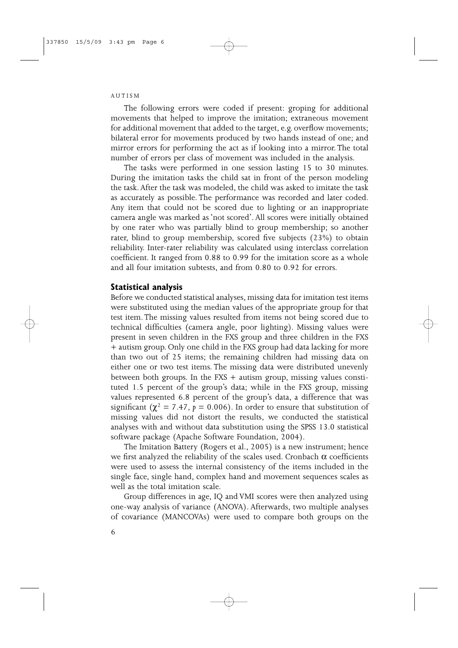The following errors were coded if present: groping for additional movements that helped to improve the imitation; extraneous movement for additional movement that added to the target, e.g. overflow movements; bilateral error for movements produced by two hands instead of one; and mirror errors for performing the act as if looking into a mirror. The total number of errors per class of movement was included in the analysis.

The tasks were performed in one session lasting 15 to 30 minutes. During the imitation tasks the child sat in front of the person modeling the task. After the task was modeled, the child was asked to imitate the task as accurately as possible. The performance was recorded and later coded. Any item that could not be scored due to lighting or an inappropriate camera angle was marked as 'not scored'. All scores were initially obtained by one rater who was partially blind to group membership; so another rater, blind to group membership, scored five subjects (23%) to obtain reliability. Inter-rater reliability was calculated using interclass correlation coefficient. It ranged from 0.88 to 0.99 for the imitation score as a whole and all four imitation subtests, and from 0.80 to 0.92 for errors.

## **Statistical analysis**

Before we conducted statistical analyses, missing data for imitation test items were substituted using the median values of the appropriate group for that test item. The missing values resulted from items not being scored due to technical difficulties (camera angle, poor lighting). Missing values were present in seven children in the FXS group and three children in the FXS + autism group. Only one child in the FXS group had data lacking for more than two out of 25 items; the remaining children had missing data on either one or two test items. The missing data were distributed unevenly between both groups. In the  $FXS + \text{autism group}$ , missing values constituted 1.5 percent of the group's data; while in the FXS group, missing values represented 6.8 percent of the group's data, a difference that was significant ( $\chi^2$  = 7.47,  $p$  = 0.006). In order to ensure that substitution of missing values did not distort the results, we conducted the statistical analyses with and without data substitution using the SPSS 13.0 statistical software package (Apache Software Foundation, 2004).

The Imitation Battery (Rogers et al., 2005) is a new instrument; hence we first analyzed the reliability of the scales used. Cronbach  $\alpha$  coefficients were used to assess the internal consistency of the items included in the single face, single hand, complex hand and movement sequences scales as well as the total imitation scale.

Group differences in age, IQ and VMI scores were then analyzed using one-way analysis of variance (ANOVA). Afterwards, two multiple analyses of covariance (MANCOVAs) were used to compare both groups on the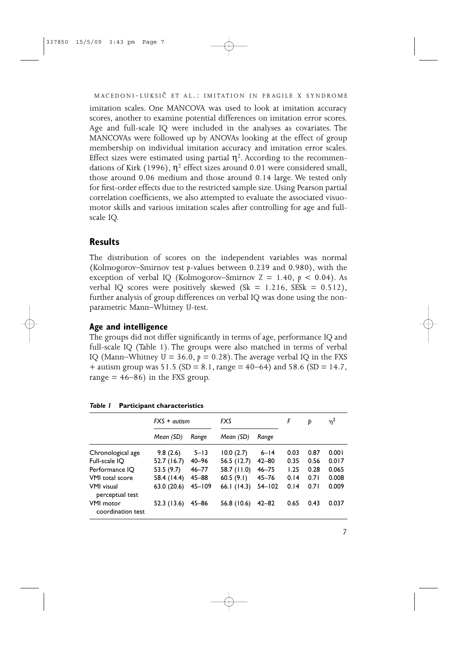imitation scales. One MANCOVA was used to look at imitation accuracy scores, another to examine potential differences on imitation error scores. Age and full-scale IQ were included in the analyses as covariates. The MANCOVAs were followed up by ANOVAs looking at the effect of group membership on individual imitation accuracy and imitation error scales. Effect sizes were estimated using partial  $\eta^2$ . According to the recommendations of Kirk (1996),  $\eta^2$  effect sizes around 0.01 were considered small, those around 0.06 medium and those around 0.14 large. We tested only for first-order effects due to the restricted sample size. Using Pearson partial correlation coefficients, we also attempted to evaluate the associated visuomotor skills and various imitation scales after controlling for age and fullscale IQ. MACEDONI-LUKSIČ ET AL.: IMITATION IN FRAGILE X SYNDROME

# **Results**

The distribution of scores on the independent variables was normal (Kolmogorov–Smirnov test *p*-values between 0.239 and 0.980), with the exception of verbal IQ (Kolmogorov–Smirnov *Z* = 1.40, *p* < 0.04). As verbal IQ scores were positively skewed (Sk =  $1.216$ , SESk =  $0.512$ ), further analysis of group differences on verbal IQ was done using the nonparametric Mann–Whitney *U*-test.

## **Age and intelligence**

The groups did not differ significantly in terms of age, performance IQ and full-scale IQ (Table 1). The groups were also matched in terms of verbal IQ (Mann–Whitney *U* = 36.0, *p* = 0.28).The average verbal IQ in the FXS + autism group was 51.5 (SD = 8.1, range =  $40-64$ ) and 58.6 (SD = 14.7, range  $= 46-86$ ) in the FXS group.

|                                      | $FXS +$ <i>autism</i> |            | <b>FXS</b>    |            | F    | Þ    | $\eta^2$ |
|--------------------------------------|-----------------------|------------|---------------|------------|------|------|----------|
|                                      | Mean (SD)             | Range      | Mean (SD)     | Range      |      |      |          |
| Chronological age                    | 9.8(2.6)              | $5 - 13$   | 10.0(2.7)     | $6 - 14$   | 0.03 | 0.87 | 0.001    |
| Full-scale IO                        | 52.7 (16.7)           | $40 - 96$  | 56.5 (12.7)   | $42 - 80$  | 0.35 | 0.56 | 0.017    |
| Performance IO                       | 53.5(9.7)             | $46 - 77$  | 58.7 (11.0)   | $46 - 75$  | 1.25 | 0.28 | 0.065    |
| <b>VMI</b> total score               | 58.4 (14.4)           | $45 - 88$  | 60.5(9.1)     | $45 - 76$  | 0.14 | 0.71 | 0.008    |
| <b>VMI</b> visual<br>perceptual test | 63.0(20.6)            | $45 - 109$ | 66.1 $(14.3)$ | $54 - 102$ | 0.14 | 0.71 | 0.009    |
| VMI motor<br>coordination test       | 52.3 (13.6)           | $45 - 86$  | 56.8 (10.6)   | $42 - 82$  | 0.65 | 0.43 | 0.037    |

#### *Table 1* **Participant characteristics**

7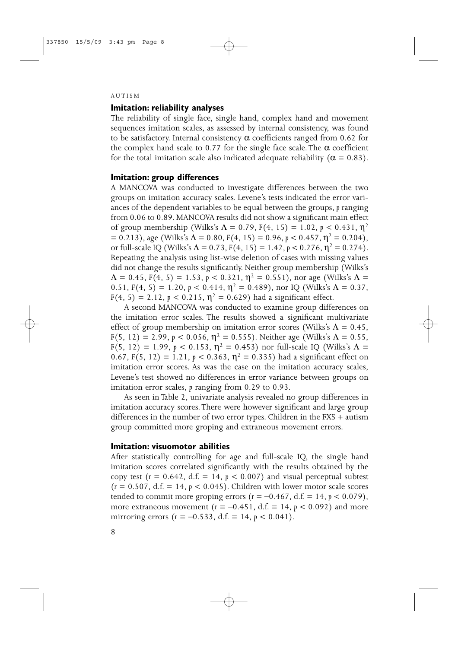## **Imitation: reliability analyses**

The reliability of single face, single hand, complex hand and movement sequences imitation scales, as assessed by internal consistency, was found to be satisfactory. Internal consistency  $\alpha$  coefficients ranged from 0.62 for the complex hand scale to 0.77 for the single face scale. The  $\alpha$  coefficient for the total imitation scale also indicated adequate reliability ( $\alpha = 0.83$ ).

## **Imitation: group differences**

A MANCOVA was conducted to investigate differences between the two groups on imitation accuracy scales. Levene's tests indicated the error variances of the dependent variables to be equal between the groups, *p* ranging from 0.06 to 0.89. MANCOVA results did not show a significant main effect of group membership (Wilks's  $Λ = 0.79$ ,  $F(4, 15) = 1.02$ ,  $p < 0.431$ ,  $η<sup>2</sup>$  $= 0.213$ ), age (Wilks's  $\Lambda = 0.80$ ,  $F(4, 15) = 0.96$ ,  $p < 0.457$ ,  $\eta^2 = 0.204$ ), or full-scale IQ (Wilks's  $\Lambda = 0.73$ ,  $F(4, 15) = 1.42$ ,  $p < 0.276$ ,  $\eta^2 = 0.274$ ). Repeating the analysis using list-wise deletion of cases with missing values did not change the results significantly. Neither group membership (Wilks's  $\Lambda = 0.45$ ,  $F(4, 5) = 1.53$ ,  $p < 0.321$ ,  $\eta^2 = 0.551$ ), nor age (Wilks's  $\Lambda =$ 0.51,  $F(4, 5) = 1.20$ ,  $p < 0.414$ ,  $\eta^2 = 0.489$ ), nor IQ (Wilks's  $\Lambda = 0.37$ ,  $F(4, 5) = 2.12$ ,  $p < 0.215$ ,  $\eta^2 = 0.629$ ) had a significant effect.

A second MANCOVA was conducted to examine group differences on the imitation error scales. The results showed a significant multivariate effect of group membership on imitation error scores (Wilks's  $\Lambda = 0.45$ , *F*(5, 12) = 2.99, *p* < 0.056,  $\eta^2$  = 0.555). Neither age (Wilks's  $\Lambda$  = 0.55, *F*(5, 12) = 1.99, *p* < 0.153,  $\eta^2$  = 0.453) nor full-scale IQ (Wilks's  $\Lambda$  = 0.67,  $F(5, 12) = 1.21$ ,  $p < 0.363$ ,  $\eta^2 = 0.335$ ) had a significant effect on imitation error scores. As was the case on the imitation accuracy scales, Levene's test showed no differences in error variance between groups on imitation error scales, *p* ranging from 0.29 to 0.93.

As seen in Table 2, univariate analysis revealed no group differences in imitation accuracy scores. There were however significant and large group differences in the number of two error types. Children in the  $FXS + \text{autism}$ group committed more groping and extraneous movement errors.

## **Imitation: visuomotor abilities**

After statistically controlling for age and full-scale IQ, the single hand imitation scores correlated significantly with the results obtained by the copy test ( $r = 0.642$ , d.f. = 14,  $p < 0.007$ ) and visual perceptual subtest  $(r = 0.507, d.f. = 14, p < 0.045)$ . Children with lower motor scale scores tended to commit more groping errors  $(r = -0.467, d.f. = 14, p < 0.079)$ , more extraneous movement ( $r = -0.451$ , d.f. = 14,  $p < 0.092$ ) and more mirroring errors (*r* = –0.533, d.f. = 14, *p* < 0.041).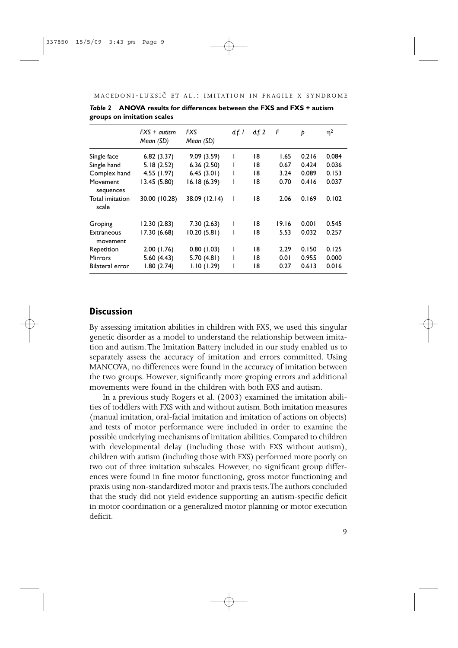|                          | $FXS + autism$ | <b>FXS</b>    | df. I | df. 2 | F     | Þ     | $\eta^2$ |
|--------------------------|----------------|---------------|-------|-------|-------|-------|----------|
|                          | Mean (SD)      | Mean (SD)     |       |       |       |       |          |
| Single face              | 6.82(3.37)     | 9.09(3.59)    | I     | 18    | 1.65  | 0.216 | 0.084    |
| Single hand              | 5.18(2.52)     | 6.36(2.50)    | I     | 18    | 0.67  | 0.424 | 0.036    |
| Complex hand             | 4.55 (1.97)    | 6.45(3.01)    | L     | 18    | 3.24  | 0.089 | 0.153    |
| Movement<br>sequences    | 13.45 (5.80)   | 16.18(6.39)   | L     | 18    | 0.70  | 0.416 | 0.037    |
| Total imitation<br>scale | 30.00 (10.28)  | 38.09 (12.14) | I     | 18    | 2.06  | 0.169 | 0.102    |
| Groping                  | 12.30(2.83)    | 7.30(2.63)    | L     | 18    | 19.16 | 0.001 | 0.545    |
| Extraneous<br>movement   | 17.30 (6.68)   | 10.20(5.81)   | I     | 18    | 5.53  | 0.032 | 0.257    |
| Repetition               | 2.00(1.76)     | 0.80(1.03)    | I     | 18    | 2.29  | 0.150 | 0.125    |
| Mirrors                  | 5.60(4.43)     | 5.70(4.81)    | L     | 18    | 0.01  | 0.955 | 0.000    |
| Bilateral error          | 1.80(2.74)     | 1.10(1.29)    | I     | 18    | 0.27  | 0.613 | 0.016    |

*Table 2* **ANOVA results for differences between the FXS and FXS + autism groups on imitation scales**

# **Discussion**

By assessing imitation abilities in children with FXS, we used this singular genetic disorder as a model to understand the relationship between imitation and autism.The Imitation Battery included in our study enabled us to separately assess the accuracy of imitation and errors committed. Using MANCOVA, no differences were found in the accuracy of imitation between the two groups. However, significantly more groping errors and additional movements were found in the children with both FXS and autism.

In a previous study Rogers et al. (2003) examined the imitation abilities of toddlers with FXS with and without autism. Both imitation measures (manual imitation, oral-facial imitation and imitation of actions on objects) and tests of motor performance were included in order to examine the possible underlying mechanisms of imitation abilities. Compared to children with developmental delay (including those with FXS without autism), children with autism (including those with FXS) performed more poorly on two out of three imitation subscales. However, no significant group differences were found in fine motor functioning, gross motor functioning and praxis using non-standardized motor and praxis tests.The authors concluded that the study did not yield evidence supporting an autism-specific deficit in motor coordination or a generalized motor planning or motor execution deficit.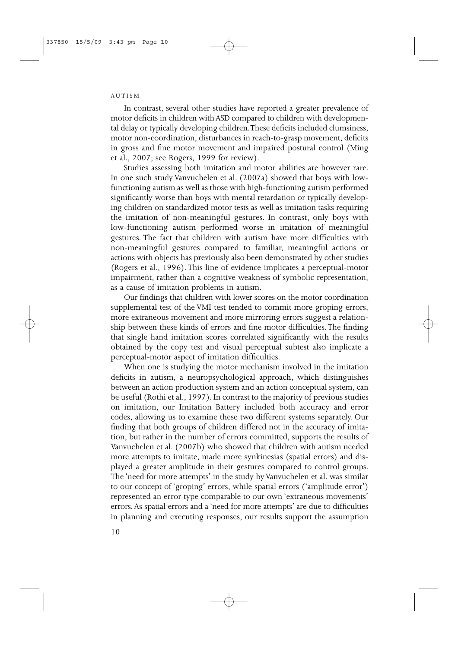In contrast, several other studies have reported a greater prevalence of motor deficits in children with ASD compared to children with developmental delay or typically developing children.These deficits included clumsiness, motor non-coordination, disturbances in reach-to-grasp movement, deficits in gross and fine motor movement and impaired postural control (Ming et al., 2007; see Rogers, 1999 for review).

Studies assessing both imitation and motor abilities are however rare. In one such study Vanvuchelen et al. (2007a) showed that boys with lowfunctioning autism as well as those with high-functioning autism performed significantly worse than boys with mental retardation or typically developing children on standardized motor tests as well as imitation tasks requiring the imitation of non-meaningful gestures. In contrast, only boys with low-functioning autism performed worse in imitation of meaningful gestures. The fact that children with autism have more difficulties with non-meaningful gestures compared to familiar, meaningful actions or actions with objects has previously also been demonstrated by other studies (Rogers et al., 1996). This line of evidence implicates a perceptual-motor impairment, rather than a cognitive weakness of symbolic representation, as a cause of imitation problems in autism.

Our findings that children with lower scores on the motor coordination supplemental test of the VMI test tended to commit more groping errors, more extraneous movement and more mirroring errors suggest a relationship between these kinds of errors and fine motor difficulties.The finding that single hand imitation scores correlated significantly with the results obtained by the copy test and visual perceptual subtest also implicate a perceptual-motor aspect of imitation difficulties.

When one is studying the motor mechanism involved in the imitation deficits in autism, a neuropsychological approach, which distinguishes between an action production system and an action conceptual system, can be useful (Rothi et al., 1997). In contrast to the majority of previous studies on imitation, our Imitation Battery included both accuracy and error codes, allowing us to examine these two different systems separately. Our finding that both groups of children differed not in the accuracy of imitation, but rather in the number of errors committed, supports the results of Vanvuchelen et al. (2007b) who showed that children with autism needed more attempts to imitate, made more synkinesias (spatial errors) and displayed a greater amplitude in their gestures compared to control groups. The 'need for more attempts' in the study by Vanvuchelen et al. was similar to our concept of 'groping' errors, while spatial errors ('amplitude error') represented an error type comparable to our own 'extraneous movements' errors. As spatial errors and a 'need for more attempts' are due to difficulties in planning and executing responses, our results support the assumption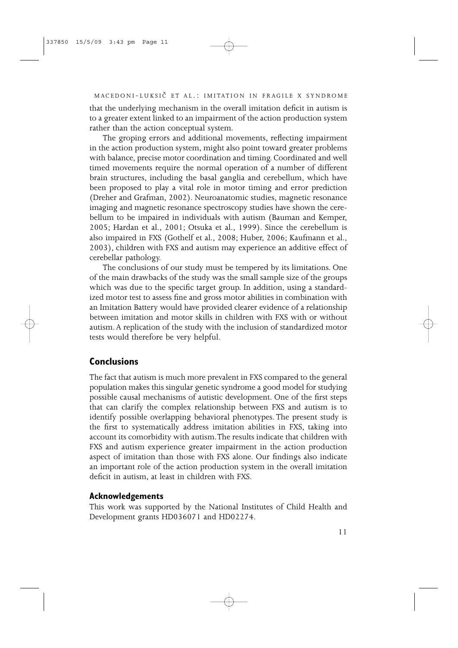that the underlying mechanism in the overall imitation deficit in autism is to a greater extent linked to an impairment of the action production system rather than the action conceptual system. MACEDONI-LUKSIČ ET AL.: IMITATION IN FRAGILE X SYNDROME

The groping errors and additional movements, reflecting impairment in the action production system, might also point toward greater problems with balance, precise motor coordination and timing. Coordinated and well timed movements require the normal operation of a number of different brain structures, including the basal ganglia and cerebellum, which have been proposed to play a vital role in motor timing and error prediction (Dreher and Grafman, 2002). Neuroanatomic studies, magnetic resonance imaging and magnetic resonance spectroscopy studies have shown the cerebellum to be impaired in individuals with autism (Bauman and Kemper, 2005; Hardan et al., 2001; Otsuka et al., 1999). Since the cerebellum is also impaired in FXS (Gothelf et al., 2008; Huber, 2006; Kaufmann et al., 2003), children with FXS and autism may experience an additive effect of cerebellar pathology.

The conclusions of our study must be tempered by its limitations. One of the main drawbacks of the study was the small sample size of the groups which was due to the specific target group. In addition, using a standardized motor test to assess fine and gross motor abilities in combination with an Imitation Battery would have provided clearer evidence of a relationship between imitation and motor skills in children with FXS with or without autism. A replication of the study with the inclusion of standardized motor tests would therefore be very helpful.

# **Conclusions**

The fact that autism is much more prevalent in FXS compared to the general population makes this singular genetic syndrome a good model for studying possible causal mechanisms of autistic development. One of the first steps that can clarify the complex relationship between FXS and autism is to identify possible overlapping behavioral phenotypes. The present study is the first to systematically address imitation abilities in FXS, taking into account its comorbidity with autism.The results indicate that children with FXS and autism experience greater impairment in the action production aspect of imitation than those with FXS alone. Our findings also indicate an important role of the action production system in the overall imitation deficit in autism, at least in children with FXS.

# **Acknowledgements**

This work was supported by the National Institutes of Child Health and Development grants HD036071 and HD02274.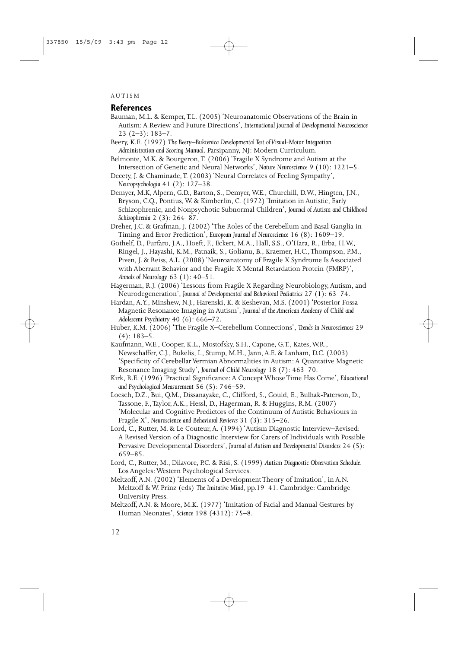#### **References**

- Bauman, M.L. & Kemper,T.L. (2005) 'Neuroanatomic Observations of the Brain in Autism: A Review and Future Directions', *International Journal of Developmental Neuroscience* 23 (2–3): 183–7.
- Beery, K.E. (1997) *The Beery*–*Buktenica Developmental Test of Visual-Motor Integration. Administration and Scoring Manual*. Parsipanny, NJ: Modern Curriculum.
- Belmonte, M.K. & Bourgeron,T. (2006) 'Fragile X Syndrome and Autism at the Intersection of Genetic and Neural Networks', *Nature Neuroscience* 9 (10): 1221–5.
- Decety, J. & Chaminade,T. (2003) 'Neural Correlates of Feeling Sympathy', *Neuropsychologia* 41 (2): 127–38.
- Demyer, M.K, Alpern, G.D., Barton, S., Demyer,W.E., Churchill, D.W., Hingten, J.N., Bryson, C.Q., Pontius,W. & Kimberlin, C. (1972) 'Imitation in Autistic, Early Schizophrenic, and Nonpsychotic Subnormal Children', *Journal of Autism and Childhood Schizophrenia* 2 (3): 264–87.
- Dreher, J.C. & Grafman, J. (2002) 'The Roles of the Cerebellum and Basal Ganglia in Timing and Error Prediction', *European Journal of Neuroscience* 16 (8): 1609–19.
- Gothelf, D., Furfaro, J.A., Hoeft, F., Eckert, M.A., Hall, S.S., O'Hara, R., Erba, H.W., Ringel, J., Hayashi, K.M., Patnaik, S., Golianu, B., Kraemer, H.C.,Thompson, P.M., Piven, J. & Reiss, A.L. (2008) 'Neuroanatomy of Fragile X Syndrome Is Associated with Aberrant Behavior and the Fragile X Mental Retardation Protein (FMRP)', *Annals of Neurology* 63 (1): 40–51.
- Hagerman, R.J. (2006) 'Lessons from Fragile X Regarding Neurobiology, Autism, and Neurodegeneration', *Journal of Developmental and Behavioral Pediatrics* 27 (1): 63–74.
- Hardan, A.Y., Minshew, N.J., Harenski, K. & Keshevan, M.S. (2001) 'Posterior Fossa Magnetic Resonance Imaging in Autism', *Journal of the American Academy of Child and Adolescent Psychiatry* 40 (6): 666–72.
- Huber, K.M. (2006) 'The Fragile X–Cerebellum Connections', *Trends in Neurosciences* 29  $(4): 183 - 5.$
- Kaufmann, W.E., Cooper, K.L., Mostofsky, S.H., Capone, G.T., Kates, W.R., Newschaffer, C.J., Bukelis, I., Stump, M.H., Jann, A.E. & Lanham, D.C. (2003) 'Specificity of Cerebellar Vermian Abnormalities in Autism: A Quantative Magnetic Resonance Imaging Study', *Journal of Child Neurology* 18 (7): 463–70.
- Kirk, R.E. (1996) 'Practical Significance: A Concept Whose Time Has Come', *Educational and Psychological Measurement* 56 (5): 746–59.
- Loesch, D.Z., Bui, Q.M., Dissanayake, C., Clifford, S., Gould, E., Bulhak-Paterson, D., Tassone, F.,Taylor, A.K., Hessl, D., Hagerman, R. & Huggins, R.M. (2007) 'Molecular and Cognitive Predictors of the Continuum of Autistic Behaviours in Fragile X', *Neuroscience and Behavioral Reviews* 31 (3): 315–26.
- Lord, C., Rutter, M. & Le Couteur, A. (1994) 'Autism Diagnostic Interview–Revised: A Revised Version of a Diagnostic Interview for Carers of Individuals with Possible Pervasive Developmental Disorders', *Journal of Autism and Developmental Disorders* 24 (5): 659–85.
- Lord, C., Rutter, M., Dilavore, P.C. & Risi, S. (1999) *Autism Diagnostic Observation Schedule*. Los Angeles: Western Psychological Services.
- Meltzoff, A.N. (2002) 'Elements of a Development Theory of Imitation', in A.N. Meltzoff & W. Prinz (eds) *The Imitative Mind*, pp.19–41. Cambridge: Cambridge University Press.
- Meltzoff, A.N. & Moore, M.K. (1977) 'Imitation of Facial and Manual Gestures by Human Neonates', *Science* 198 (4312): 75–8.